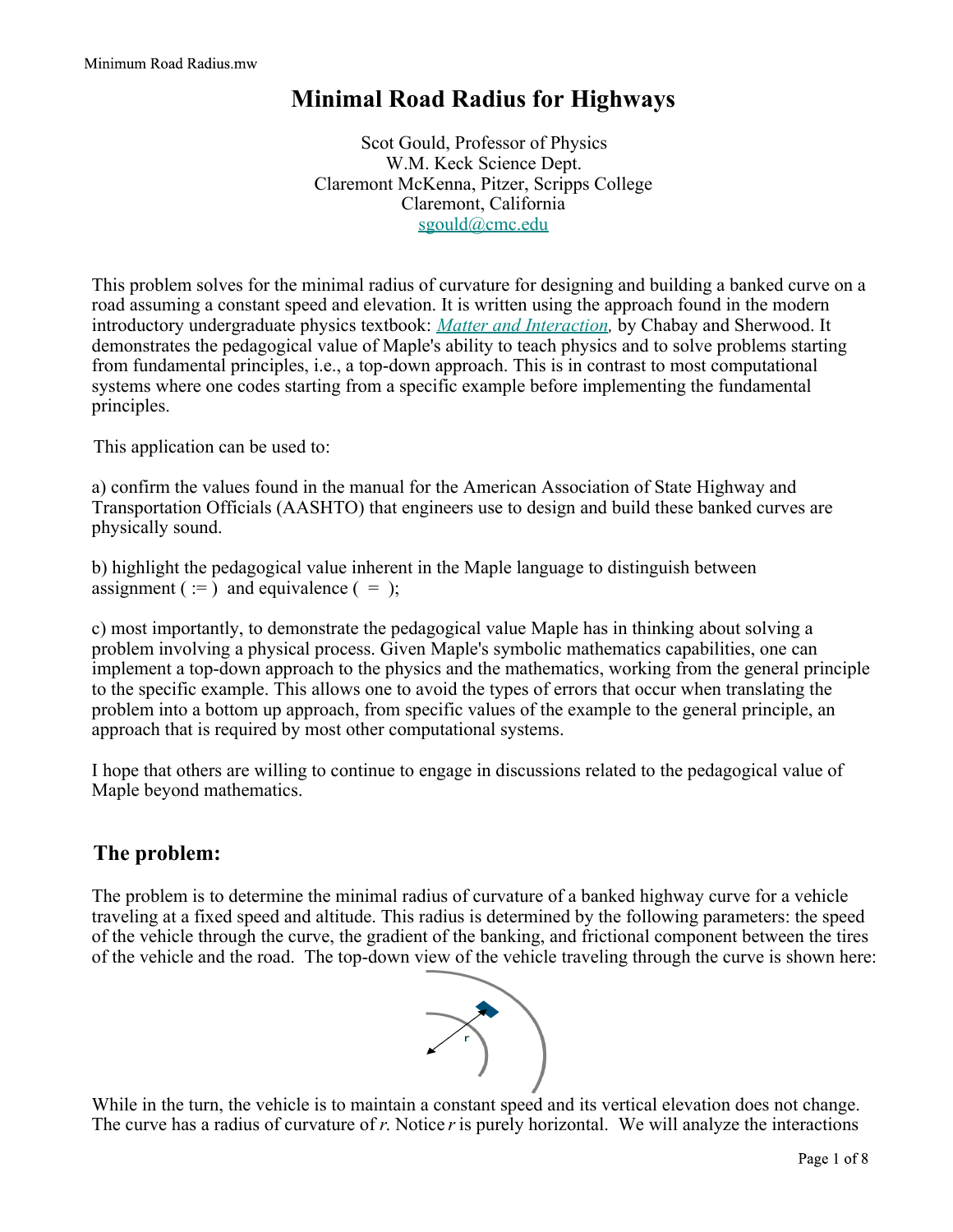## **Minimal Road Radius for Highways**

Scot Gould, Professor of Physics W.M. Keck Science Dept. Claremont McKenna, Pitzer, Scripps College Claremont, California sgould@cmc.edu

This problem solves for the minimal radius of curvature for designing and building a banked curve on a road assuming a constant speed and elevation. It is written using the approach found in the modern introductory undergraduate physics textbook: *Matter and Interaction,* by Chabay and Sherwood. It demonstrates the pedagogical value of Maple's ability to teach physics and to solve problems starting from fundamental principles, i.e., a top-down approach. This is in contrast to most computational systems where one codes starting from a specific example before implementing the fundamental principles.

This application can be used to:

a) confirm the values found in the manual for the American Association of State Highway and Transportation Officials (AASHTO) that engineers use to design and build these banked curves are physically sound.

b) highlight the pedagogical value inherent in the Maple language to distinguish between assignment ( $:=$ ) and equivalence ( $=$ );

c) most importantly, to demonstrate the pedagogical value Maple has in thinking about solving a problem involving a physical process. Given Maple's symbolic mathematics capabilities, one can implement a top-down approach to the physics and the mathematics, working from the general principle to the specific example. This allows one to avoid the types of errors that occur when translating the problem into a bottom up approach, from specific values of the example to the general principle, an approach that is required by most other computational systems.

I hope that others are willing to continue to engage in discussions related to the pedagogical value of Maple beyond mathematics.

## **The problem:**

The problem is to determine the minimal radius of curvature of a banked highway curve for a vehicle traveling at a fixed speed and altitude. This radius is determined by the following parameters: the speed of the vehicle through the curve, the gradient of the banking, and frictional component between the tires of the vehicle and the road. The top-down view of the vehicle traveling through the curve is shown here:



While in the turn, the vehicle is to maintain a constant speed and its vertical elevation does not change. The curve has a radius of curvature of *r*. Notice *r* is purely horizontal. We will analyze the interactions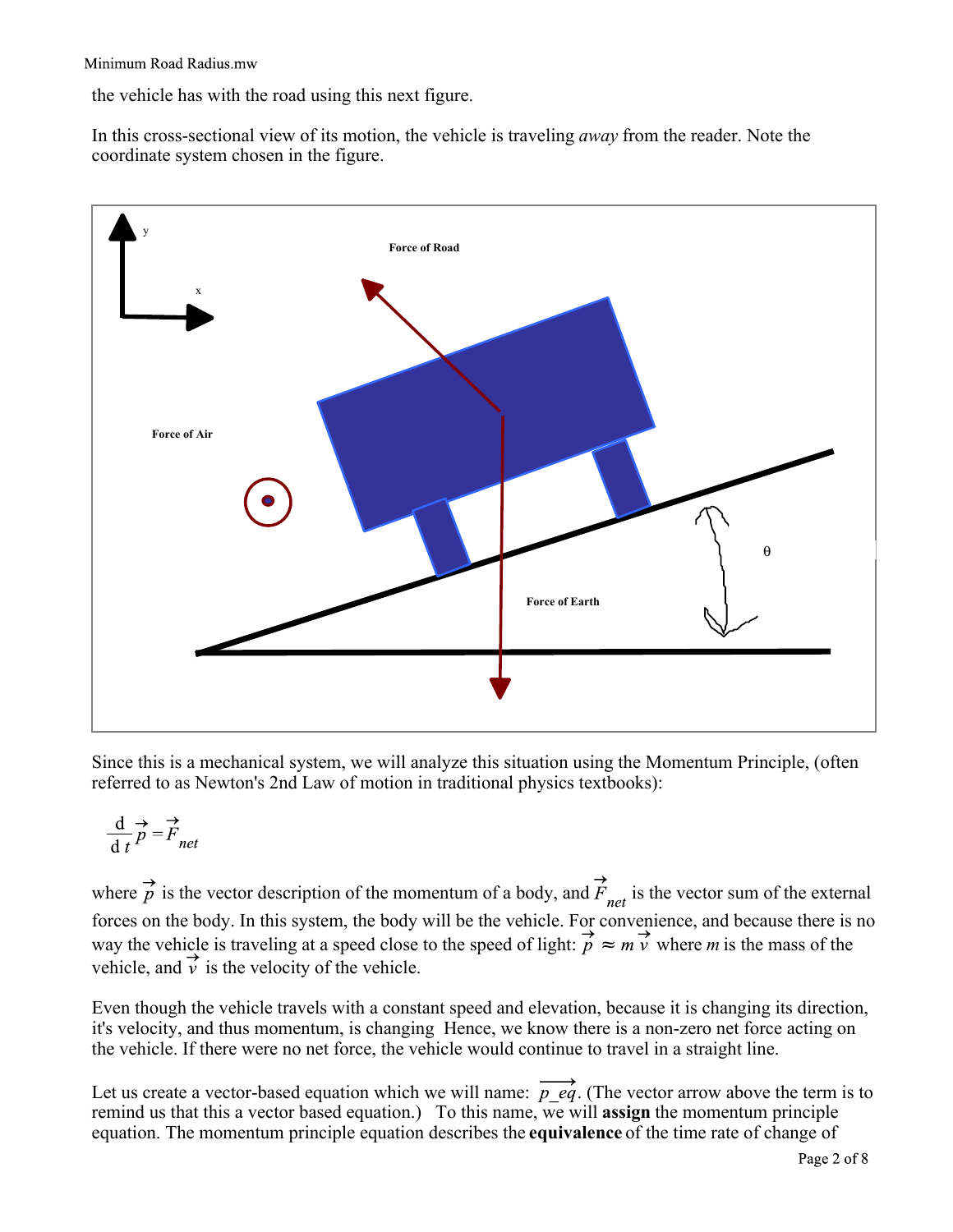the vehicle has with the road using this next figure.

In this cross-sectional view of its motion, the vehicle is traveling *away* from the reader. Note the coordinate system chosen in the figure.



Since this is a mechanical system, we will analyze this situation using the Momentum Principle, (often referred to as Newton's 2nd Law of motion in traditional physics textbooks):

$$
\frac{\mathrm{d}}{\mathrm{d}t}\vec{p} = \vec{F}_{nei}
$$

where  $\overrightarrow{p}$  is the vector description of the momentum of a body, and  $\overrightarrow{F}_{net}$  is the vector sum of the external forces on the body. In this system, the body will be the vehicle. For convenience, and because there is no way the vehicle is traveling at a speed close to the speed of light:  $\overrightarrow{p} \approx m \overrightarrow{v}$  where *m* is the mass of the vehicle, and  $\overrightarrow{v}$  is the velocity of the vehicle.

Even though the vehicle travels with a constant speed and elevation, because it is changing its direction, it's velocity, and thus momentum, is changing Hence, we know there is a non-zero net force acting on the vehicle. If there were no net force, the vehicle would continue to travel in a straight line.

Let us create a vector-based equation which we will name:  $\overrightarrow{p}$  eq. (The vector arrow above the term is to remind us that this a vector based equation.) To this name, we will **assign** the momentum principle equation. The momentum principle equation describes the **equivalence** of the time rate of change of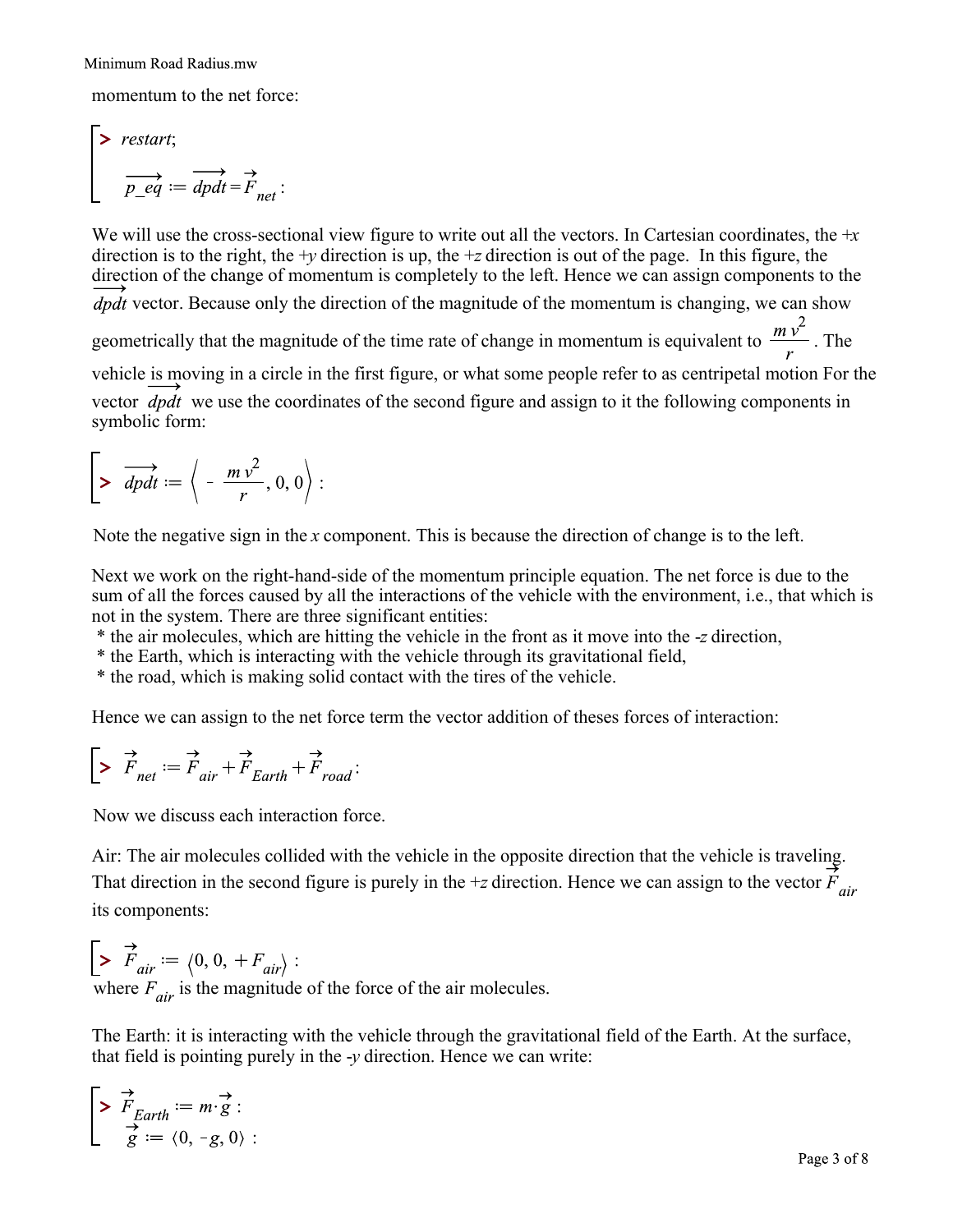momentum to the net force:

$$
\begin{bmatrix} & \text{restart;} \\ & \overrightarrow{p\_eq} := \overrightarrow{dpdt} = \overrightarrow{F}_{net} \end{bmatrix}
$$

We will use the cross-sectional view figure to write out all the vectors. In Cartesian coordinates, the +*x* direction is to the right, the +*y* direction is up, the +*z* direction is out of the page. In this figure, the direction of the change of momentum is completely to the left. Hence we can assign components to the  $\overrightarrow{dpdf}$  vector. Because only the direction of the magnitude of the momentum is changing, we can show geometrically that the magnitude of the time rate of change in momentum is equivalent to  $\frac{m v^2}{2}$ . The vehicle is moving in a circle in the first figure, or what some people refer to as centripetal motion For the vector  $\phi$  we use the coordinates of the second figure and assign to it the following components in symbolic form:

$$
\triangleright \overrightarrow{dpdt} := \left\langle -\frac{m v^2}{r}, 0, 0 \right\rangle:
$$

Note the negative sign in the *x* component. This is because the direction of change is to the left.

Next we work on the right-hand-side of the momentum principle equation. The net force is due to the sum of all the forces caused by all the interactions of the vehicle with the environment, i.e., that which is not in the system. There are three significant entities:

\* the air molecules, which are hitting the vehicle in the front as it move into the -*z* direction,

\* the Earth, which is interacting with the vehicle through its gravitational field,

\* the road, which is making solid contact with the tires of the vehicle.

Hence we can assign to the net force term the vector addition of theses forces of interaction:

$$
\begin{bmatrix} \Rightarrow & \stackrel{\rightarrow}{F}_{net} := \stackrel{\rightarrow}{F}_{air} + \stackrel{\rightarrow}{F}_{Earth} + \stackrel{\rightarrow}{F}_{road} : \end{bmatrix}
$$

Now we discuss each interaction force.

Air: The air molecules collided with the vehicle in the opposite direction that the vehicle is traveling. That direction in the second figure is purely in the +*z* direction. Hence we can assign to the vector  $\vec{F}_{air}$ its components:

**>**  where  $F_{air}$  is the magnitude of the force of the air molecules.

The Earth: it is interacting with the vehicle through the gravitational field of the Earth. At the surface, that field is pointing purely in the -*y* direction. Hence we can write:

$$
\begin{bmatrix}\n\triangleright \overrightarrow{F}_{Earth} := m \cdot \overrightarrow{g} : \\
\overrightarrow{g} := \langle 0, -g, 0 \rangle : \\
\end{bmatrix}
$$
\nPage 3 of 8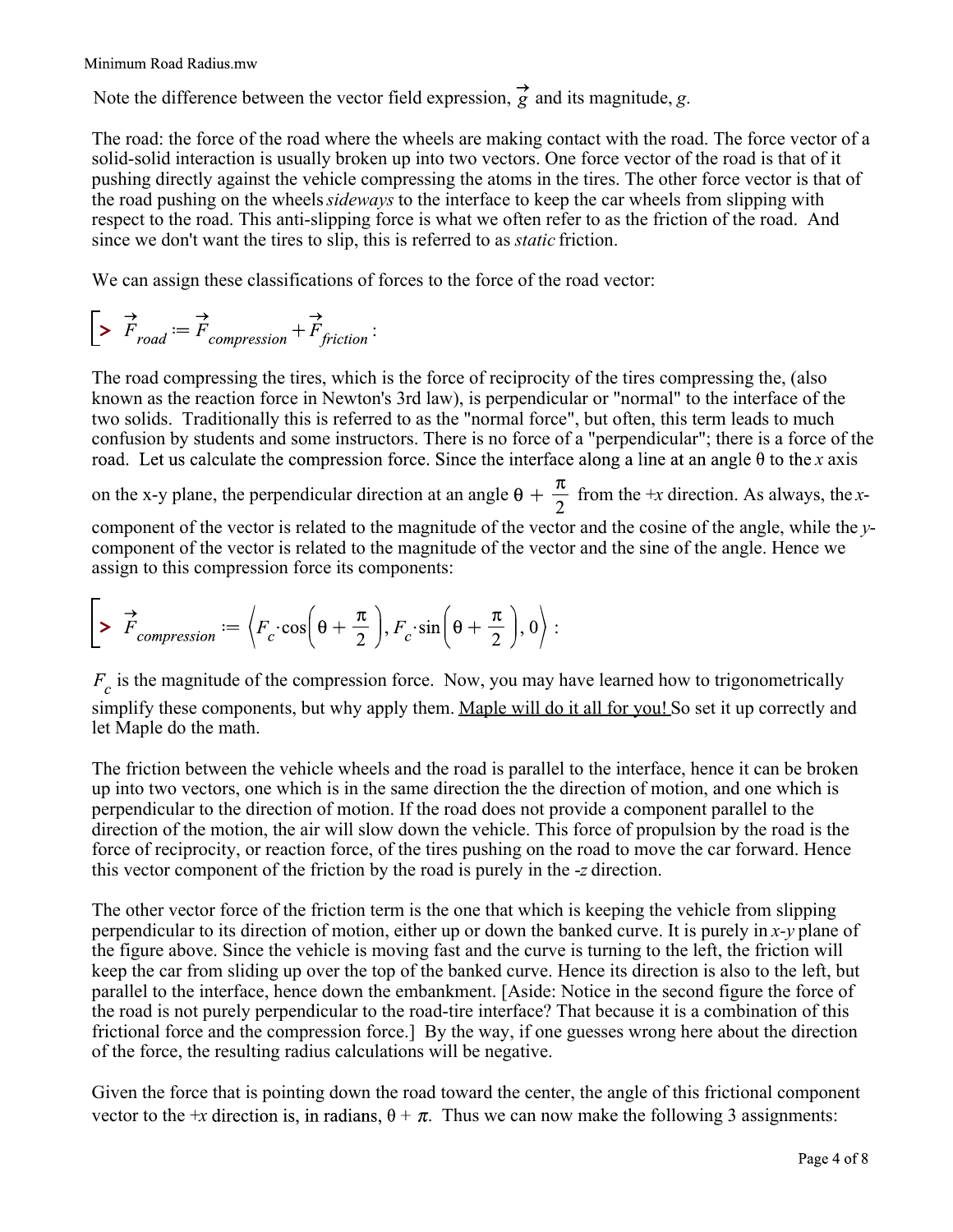Note the difference between the vector field expression,  $\overrightarrow{g}$  and its magnitude, *g*.

The road: the force of the road where the wheels are making contact with the road. The force vector of a solid-solid interaction is usually broken up into two vectors. One force vector of the road is that of it pushing directly against the vehicle compressing the atoms in the tires. The other force vector is that of the road pushing on the wheels *sideways* to the interface to keep the car wheels from slipping with respect to the road. This anti-slipping force is what we often refer to as the friction of the road. And since we don't want the tires to slip, this is referred to as *static* friction.

We can assign these classifications of forces to the force of the road vector:

$$
\begin{bmatrix} \Rightarrow \overrightarrow{F}_{road} := \overrightarrow{F}_{compression} + \overrightarrow{F}_{friction}:
$$

The road compressing the tires, which is the force of reciprocity of the tires compressing the, (also known as the reaction force in Newton's 3rd law), is perpendicular or "normal" to the interface of the two solids. Traditionally this is referred to as the "normal force", but often, this term leads to much confusion by students and some instructors. There is no force of a "perpendicular"; there is a force of the road. Let us calculate the compression force. Since the interface along a line at an angle  $\theta$  to the x axis

on the x-y plane, the perpendicular direction at an angle  $\theta + \frac{\pi}{2}$  from the +*x* direction. As always, the *x*-

component of the vector is related to the magnitude of the vector and the cosine of the angle, while the *y*component of the vector is related to the magnitude of the vector and the sine of the angle. Hence we assign to this compression force its components:

$$
\triangleright \overrightarrow{F}_{compression} := \left\langle F_c \cdot \cos\left(\theta + \frac{\pi}{2}\right), F_c \cdot \sin\left(\theta + \frac{\pi}{2}\right), 0 \right\rangle :
$$

 $F_c$  is the magnitude of the compression force. Now, you may have learned how to trigonometrically simplify these components, but why apply them. Maple will do it all for you! So set it up correctly and let Maple do the math.

The friction between the vehicle wheels and the road is parallel to the interface, hence it can be broken up into two vectors, one which is in the same direction the the direction of motion, and one which is perpendicular to the direction of motion. If the road does not provide a component parallel to the direction of the motion, the air will slow down the vehicle. This force of propulsion by the road is the force of reciprocity, or reaction force, of the tires pushing on the road to move the car forward. Hence this vector component of the friction by the road is purely in the -*z* direction.

The other vector force of the friction term is the one that which is keeping the vehicle from slipping perpendicular to its direction of motion, either up or down the banked curve. It is purely in *x-y* plane of the figure above. Since the vehicle is moving fast and the curve is turning to the left, the friction will keep the car from sliding up over the top of the banked curve. Hence its direction is also to the left, but parallel to the interface, hence down the embankment. [Aside: Notice in the second figure the force of the road is not purely perpendicular to the road-tire interface? That because it is a combination of this frictional force and the compression force.] By the way, if one guesses wrong here about the direction of the force, the resulting radius calculations will be negative.

Given the force that is pointing down the road toward the center, the angle of this frictional component vector to the +*x* direction is, in radians,  $\theta + \pi$ . Thus we can now make the following 3 assignments: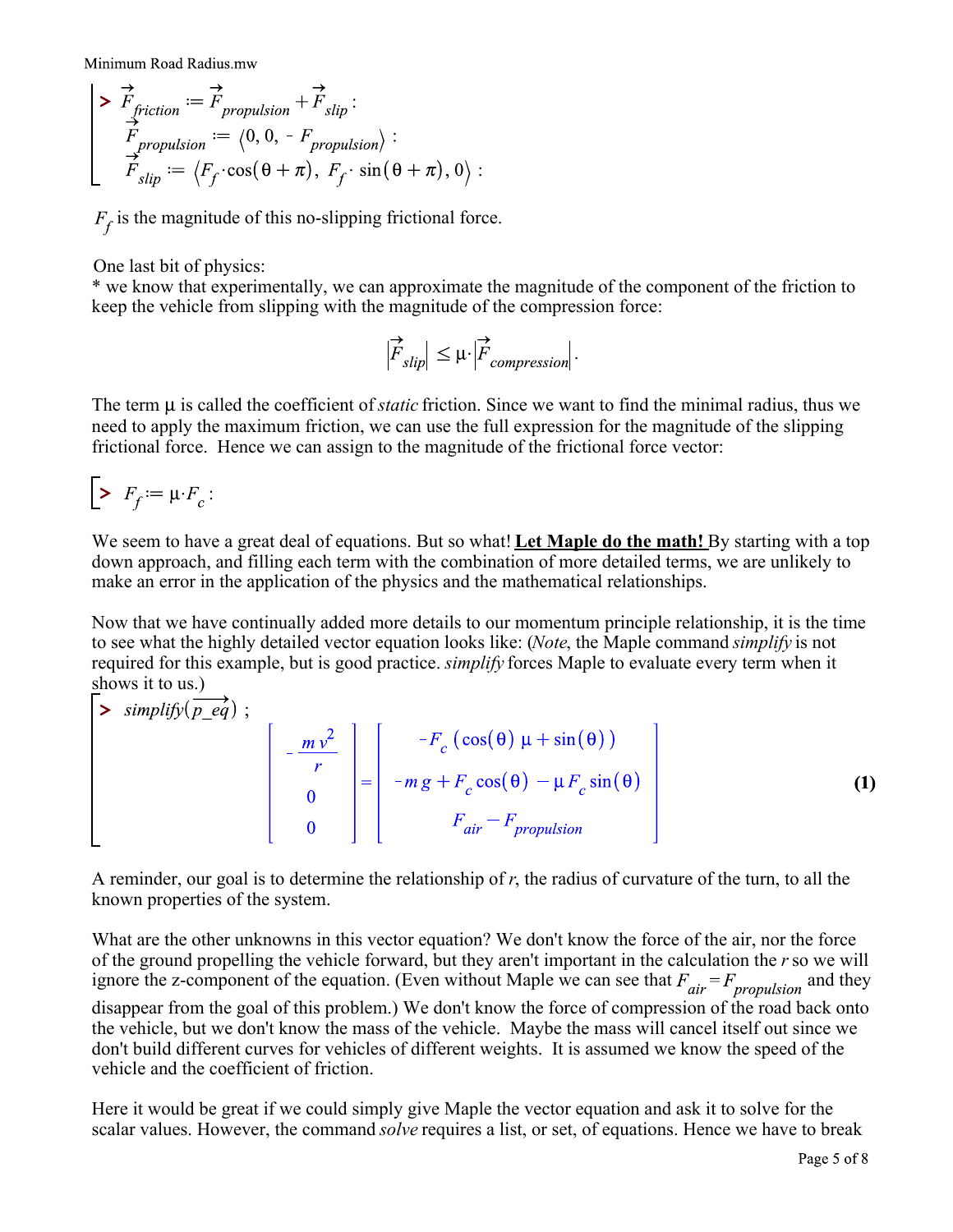$$
\begin{vmatrix}\n\sum \vec{F}_{friction} := \vec{F}_{proputation} + \vec{F}_{slip} : \\
\sum \vec{F}_{proputation} := \langle 0, 0, -F_{proputation} \rangle : \\
\sum \vec{F}_{slip} := \langle F_f \cdot \cos(\theta + \pi), F_f \cdot \sin(\theta + \pi), 0 \rangle : \n\end{vmatrix}
$$

 $F_f$  is the magnitude of this no-slipping frictional force.

One last bit of physics:

\* we know that experimentally, we can approximate the magnitude of the component of the friction to keep the vehicle from slipping with the magnitude of the compression force:

$$
\left|\overrightarrow{F}_{slip}\right| \leq \mu \cdot \left|\overrightarrow{F}_{compression}\right|.
$$

The term  $\mu$  is called the coefficient of *static* friction. Since we want to find the minimal radius, thus we need to apply the maximum friction, we can use the full expression for the magnitude of the slipping frictional force. Hence we can assign to the magnitude of the frictional force vector:

$$
\begin{bmatrix} \bullet & F_f := \mu \cdot F_c : \end{bmatrix}
$$

We seem to have a great deal of equations. But so what! **Let Maple do the math!** By starting with a top down approach, and filling each term with the combination of more detailed terms, we are unlikely to make an error in the application of the physics and the mathematical relationships.

Now that we have continually added more details to our momentum principle relationship, it is the time to see what the highly detailed vector equation looks like: (*Note*, the Maple command *simplify* is not required for this example, but is good practice. *simplify* forces Maple to evaluate every term when it shows it to us.)

$$
\begin{bmatrix}\n> \text{simplify}(\overrightarrow{p\_eq}) ; \\
\begin{bmatrix}\n-\frac{m v^2}{r} \\
0\n\end{bmatrix} = \begin{bmatrix}\n-F_c (\cos(\theta) \mu + \sin(\theta)) \\
-m g + F_c \cos(\theta) - \mu F_c \sin(\theta) \\
F_{air} - F_{proputation}\n\end{bmatrix}
$$
\n(1)

A reminder, our goal is to determine the relationship of *r*, the radius of curvature of the turn, to all the known properties of the system.

What are the other unknowns in this vector equation? We don't know the force of the air, nor the force of the ground propelling the vehicle forward, but they aren't important in the calculation the *r* so we will ignore the z-component of the equation. (Even without Maple we can see that  $F_{air} = F_{proputation}$  and they disappear from the goal of this problem.) We don't know the force of compression of the road back onto the vehicle, but we don't know the mass of the vehicle. Maybe the mass will cancel itself out since we don't build different curves for vehicles of different weights. It is assumed we know the speed of the vehicle and the coefficient of friction.

Here it would be great if we could simply give Maple the vector equation and ask it to solve for the scalar values. However, the command *solve* requires a list, or set, of equations. Hence we have to break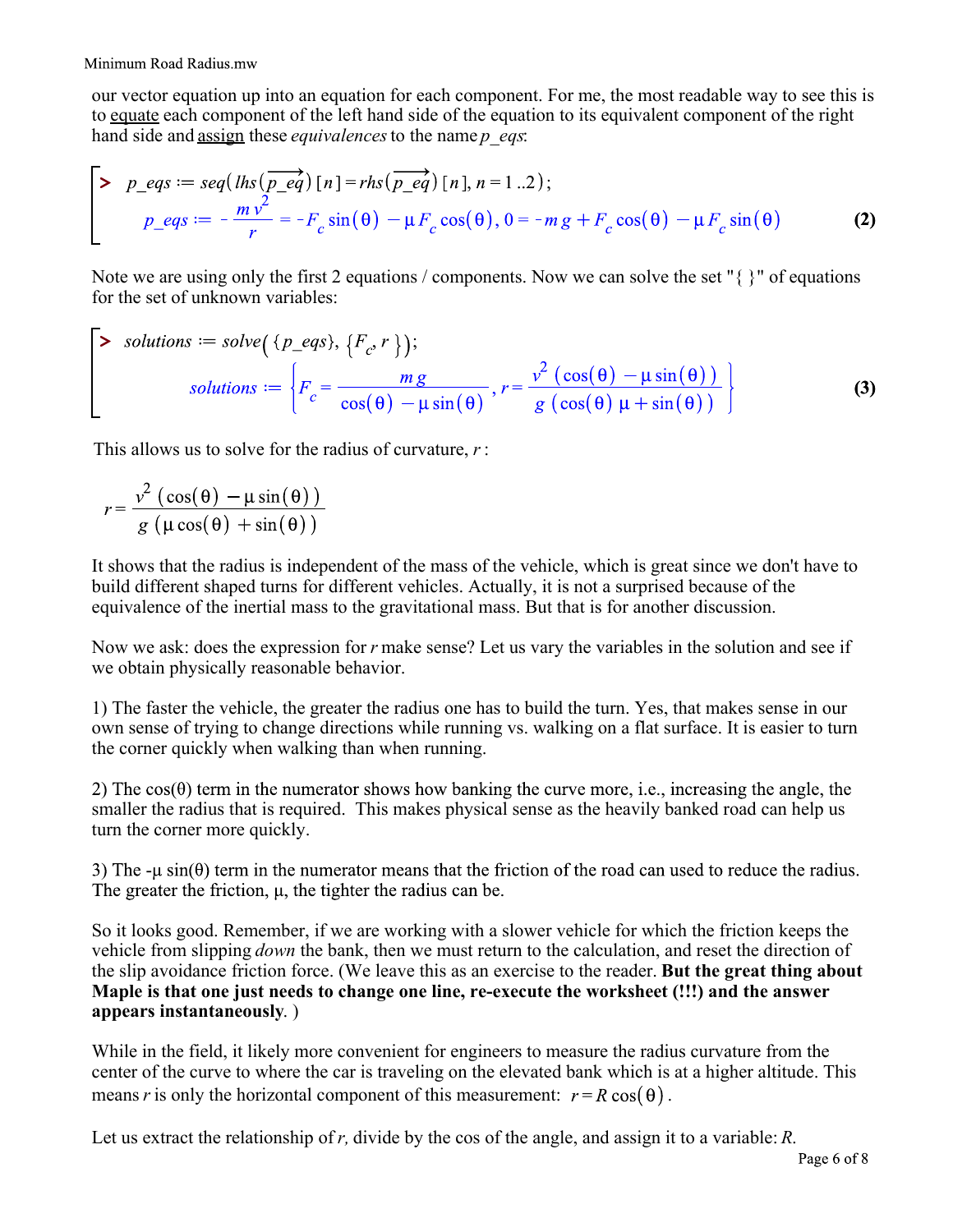our vector equation up into an equation for each component. For me, the most readable way to see this is to equate each component of the left hand side of the equation to its equivalent component of the right hand side and assign these *equivalences* to the name *p\_eqs*:

$$
\begin{bmatrix}\n\mathbf{p}_\text{eqs} := \text{seq}(\text{lhs}(\overrightarrow{p_\text{eq}}) \left[ n \right] = \text{rhs}(\overrightarrow{p_\text{eq}}) \left[ n \right], n = 1 \dots 2\right); \\
\frac{p_\text{eqs}}{r} = -\frac{m v^2}{r} = -F_c \sin(\theta) - \mu F_c \cos(\theta), 0 = -m g + F_c \cos(\theta) - \mu F_c \sin(\theta)\n\end{bmatrix}
$$
\n(2)

Note we are using only the first 2 equations / components. Now we can solve the set "{ }" of equations for the set of unknown variables:

$$
\left\{\n\begin{aligned}\n> \text{ solutions} &:= \text{solve}\left(\left\{p\_eqs\right\}, \left\{F_c, r\right\}\right); \\
& \text{ solutions} &:= \left\{F_c = \frac{mg}{\cos(\theta) - \mu \sin(\theta)}, r = \frac{v^2 \left(\cos(\theta) - \mu \sin(\theta)\right)}{g \left(\cos(\theta) \mu + \sin(\theta)\right)}\right\}\n\end{aligned}\n\right\}
$$
\n(3)

This allows us to solve for the radius of curvature, *r* :

$$
r = \frac{v^2 (\cos(\theta) - \mu \sin(\theta))}{g (\mu \cos(\theta) + \sin(\theta))}
$$

It shows that the radius is independent of the mass of the vehicle, which is great since we don't have to build different shaped turns for different vehicles. Actually, it is not a surprised because of the equivalence of the inertial mass to the gravitational mass. But that is for another discussion.

Now we ask: does the expression for *r* make sense? Let us vary the variables in the solution and see if we obtain physically reasonable behavior.

1) The faster the vehicle, the greater the radius one has to build the turn. Yes, that makes sense in our own sense of trying to change directions while running vs. walking on a flat surface. It is easier to turn the corner quickly when walking than when running.

2) The  $cos(\theta)$  term in the numerator shows how banking the curve more, i.e., increasing the angle, the smaller the radius that is required. This makes physical sense as the heavily banked road can help us turn the corner more quickly.

3) The - $\mu \sin(\theta)$  term in the numerator means that the friction of the road can used to reduce the radius. The greater the friction,  $\mu$ , the tighter the radius can be.

So it looks good. Remember, if we are working with a slower vehicle for which the friction keeps the vehicle from slipping *down* the bank, then we must return to the calculation, and reset the direction of the slip avoidance friction force. (We leave this as an exercise to the reader. **But the great thing about Maple is that one just needs to change one line, re-execute the worksheet (!!!) and the answer appears instantaneously**. )

While in the field, it likely more convenient for engineers to measure the radius curvature from the center of the curve to where the car is traveling on the elevated bank which is at a higher altitude. This means *r* is only the horizontal component of this measurement:  $r = R \cos(\theta)$ .

Let us extract the relationship of *r,* divide by the cos of the angle, and assign it to a variable: *R*.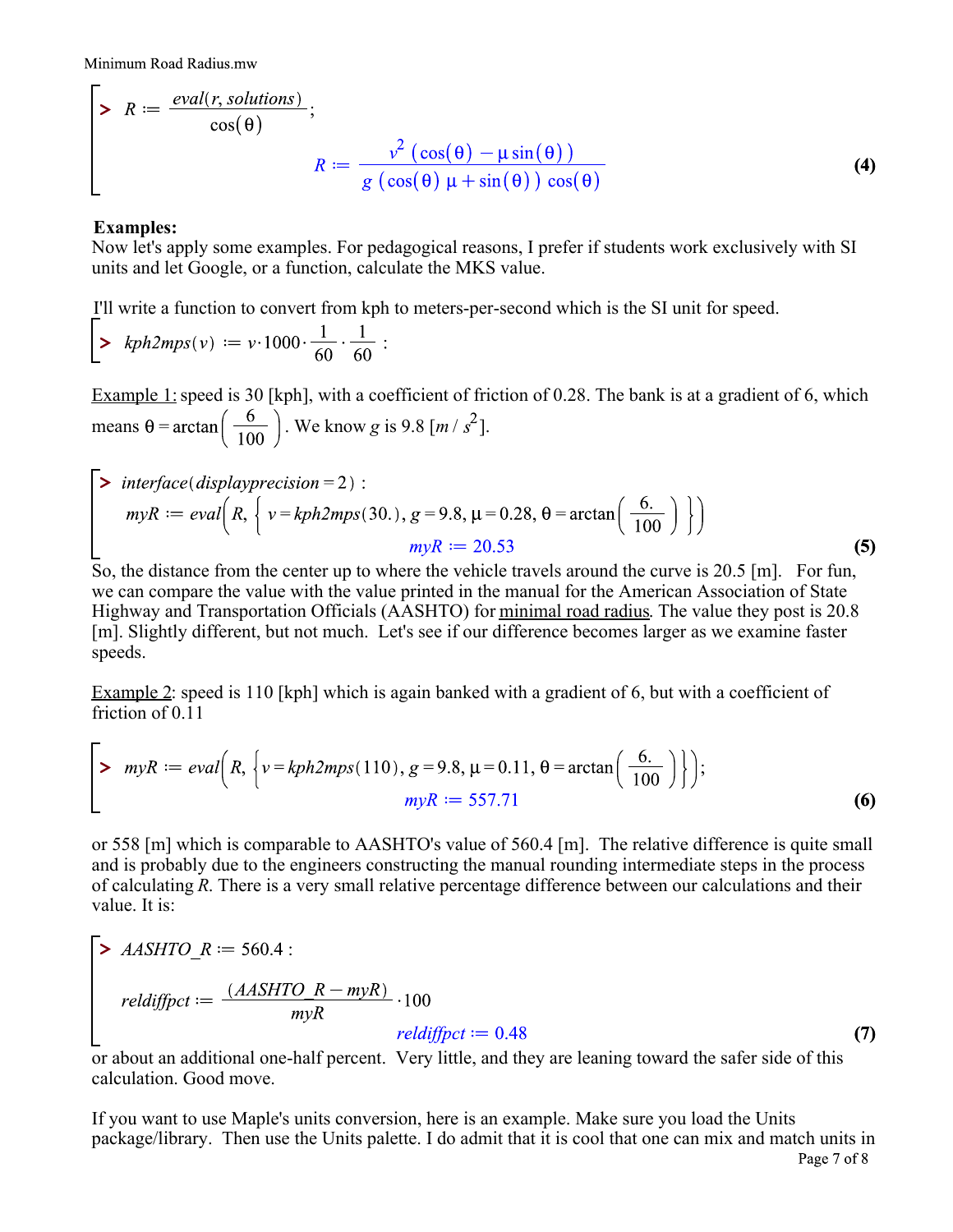$$
\geq R := \frac{eval(r, solutions)}{\cos(\theta)};
$$
  

$$
R := \frac{\nu^2 (\cos(\theta) - \mu \sin(\theta))}{g(\cos(\theta) \mu + \sin(\theta)) \cos(\theta)}
$$
(4)

## **Examples:**

 $\blacksquare$ 

Now let's apply some examples. For pedagogical reasons, I prefer if students work exclusively with SI units and let Google, or a function, calculate the MKS value.

I'll write a function to convert from kph to meters-per-second which is the SI unit for speed.

> 
$$
kph2mps(v) := v \cdot 1000 \cdot \frac{1}{60} \cdot \frac{1}{60}
$$
:

Example 1: speed is 30 [kph], with a coefficient of friction of 0.28. The bank is at a gradient of 6, which means  $\theta = \arctan\left(\frac{6}{100}\right)$ . We know *g* is 9.8 [*m* /  $s^2$ ].

$$
\begin{aligned}\n> interface(display precision = 2): \\
myR := eval\left(R, \left\{v = kph2mps(30.), g = 9.8, \mu = 0.28, \theta = \arctan\left(\frac{6.}{100}\right)\right\}\right) \\
myR := 20.53\n\end{aligned}
$$
\n(5)

So, the distance from the center up to where the vehicle travels around the curve is 20.5 [m]. For fun, we can compare the value with the value printed in the manual for the American Association of State Highway and Transportation Officials (AASHTO) for minimal road radius. The value they post is 20.8 [m]. Slightly different, but not much. Let's see if our difference becomes larger as we examine faster speeds.

Example 2: speed is 110 [kph] which is again banked with a gradient of 6, but with a coefficient of friction of 0.11

> 
$$
myR := eval(R, \{v = kph2mps(110), g = 9.8, \mu = 0.11, \theta = \arctan\left(\frac{6.}{100}\right)\}\);
$$
  
\n $myR := 557.71$  (6)

or 558 [m] which is comparable to AASHTO's value of 560.4 [m]. The relative difference is quite small and is probably due to the engineers constructing the manual rounding intermediate steps in the process of calculating *R*. There is a very small relative percentage difference between our calculations and their value. It is:

$$
\begin{bmatrix}\n\blacktriangleright AASHTO\_R := 560.4: \\
\text{reldiff} pct := \frac{(AASHTO\_R - m) \cdot 100}{m \cdot R} \cdot 100 \\
\text{reldiff} pct := 0.48\n\end{bmatrix}
$$
\n(7)

or about an additional one-half percent. Very little, and they are leaning toward the safer side of this calculation. Good move.

If you want to use Maple's units conversion, here is an example. Make sure you load the Units package/library. Then use the Units palette. I do admit that it is cool that one can mix and match units inPage 7 of 8